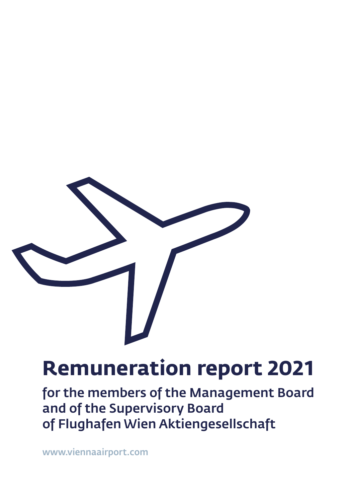

# **Remuneration report 2021**

for the members of the Management Board and of the Supervisory Board of Flughafen Wien Aktiengesellschaft

[www.viennaairport.com](https://www.viennaairport.com)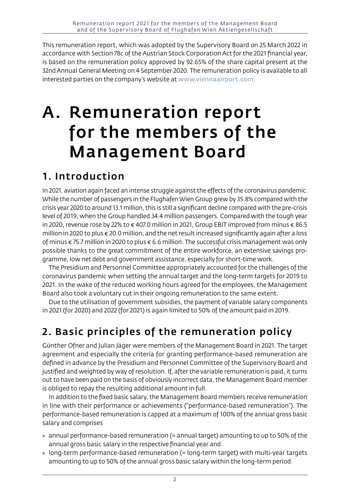This remuneration report, which was adopted by the Supervisory Board on 25 March 2022 in accordance with Section 78c of the Austrian Stock Corporation Act for the 2021 financial year, is based on the remuneration policy approved by 92.65% of the share capital present at the 32nd Annual General Meeting on 4 September 2020. The remuneration policy is available to all interested parties on the company's website at [www.viennaairport.com](https://www.viennaairport.com).

## A. Remuneration report for the members of the Management Board

### 1. Introduction

In 2021, aviation again faced an intense struggle against the effects of the coronavirus pandemic. While the number of passengers in the Flughafen Wien Group grew by 35.8% compared with the crisis year 2020 to around 13.1 million, this is still a significant decline compared with the pre-crisis level of 2019, when the Group handled 34.4 million passengers. Compared with the tough year in 2020, revenue rose by 22% to € 407.0 million in 2021, Group EBIT improved from minus € 86.5 million in 2020 to plus € 20.0 million, and the net result increased significantly again after a loss of minus € 75.7 million in 2020 to plus € 6.6 million. The successful crisis management was only possible thanks to the great commitment of the entire workforce, an extensive savings programme, low net debt and government assistance, especially for short-time work.

The Presidium and Personnel Committee appropriately accounted for the challenges of the coronavirus pandemic when setting the annual target and the long-term targets for 2019 to 2021. In the wake of the reduced working hours agreed for the employees, the Management Board also took a voluntary cut in their ongoing remuneration to the same extent.

Due to the utilisation of government subsidies, the payment of variable salary components in 2021 (for 2020) and 2022 (for 2021) is again limited to 50% of the amount paid in 2019.

## 2. Basic principles of the remuneration policy

Günther Ofner and Julian Jäger were members of the Management Board in 2021. The target agreement and especially the criteria for granting performance-based remuneration are defined in advance by the Presidium and Personnel Committee of the Supervisory Board and justified and weighted by way of resolution. If, after the variable remuneration is paid, it turns out to have been paid on the basis of obviously incorrect data, the Management Board member is obliged to repay the resulting additional amount in full.

In addition to the fixed basic salary, the Management Board members receive remuneration in line with their performance or achievements ("performance-based remuneration"). The performance-based remuneration is capped at a maximum of 100% of the annual gross basic salary and comprises

- » annual performance-based remuneration (= annual target) amounting to up to 50% of the annual gross basic salary in the respective financial year and
- » long-term performance-based remuneration (= long-term target) with multi-year targets amounting to up to 50% of the annual gross basic salary within the long-term period.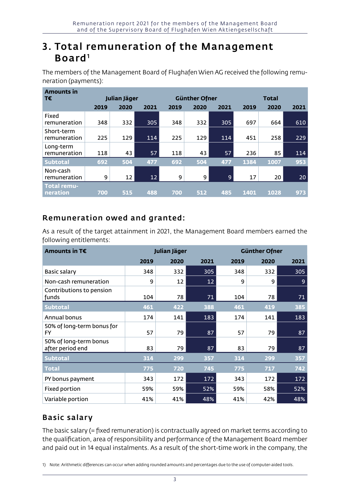### 3. Total remuneration of the Management  $B$ oard<sup>1</sup>

The members of the Management Board of Flughafen Wien AG received the following remuneration (payments):

| <b>Amounts in</b>          |              |      |                 |      |                      |                |              |      |      |
|----------------------------|--------------|------|-----------------|------|----------------------|----------------|--------------|------|------|
| т€                         | Julian Jäger |      |                 |      | <b>Günther Ofner</b> |                | <b>Total</b> |      |      |
|                            | 2019         | 2020 | 2021            | 2019 | 2020                 | 2021           | 2019         | 2020 | 2021 |
| Fixed<br>remuneration      | 348          | 332  | 305             | 348  | 332                  | 305            | 697          | 664  | 610  |
| Short-term<br>remuneration | 225          | 129  | 114             | 225  | 129                  | 114            | 451          | 258  | 229  |
| Long-term<br>remuneration  | 118          | 43   | 57              | 118  | 43                   | 57             | 236          | 85   | 114  |
| <b>Subtotal</b>            | 692          | 504  | 477             | 692  | 504                  | 477            | 1384         | 1007 | 953  |
| Non-cash<br>remuneration   | 9            | 12   | 12 <sup>2</sup> | 9    | 9                    | $\overline{9}$ | 17           | 20   | 20   |
| Total remu-<br>neration    | 700          | 515  | 488             | 700  | 512                  | 485            | 1401         | 1028 | 973  |

#### Remuneration owed and granted:

As a result of the target attainment in 2021, the Management Board members earned the following entitlements:

| Amounts in T€                              |      | Julian Jäger |      | <b>Günther Ofner</b> |      |      |  |
|--------------------------------------------|------|--------------|------|----------------------|------|------|--|
|                                            | 2019 | 2020         | 2021 | 2019                 | 2020 | 2021 |  |
| Basic salary                               | 348  | 332          | 305  | 348                  | 332  | 305  |  |
| Non-cash remuneration                      | 9    | 12           | 12   | 9                    | 9    | 9    |  |
| Contributions to pension<br>funds          | 104  | 78           | 71   | 104                  | 78   | 71   |  |
| <b>Subtotal</b>                            | 461  | 422          | 388  | 461                  | 419  | 385  |  |
| Annual bonus                               | 174  | 141          | 183  | 174                  | 141  | 183  |  |
| 50% of long-term bonus for<br>FY.          | 57   | 79           | 87   | 57                   | 79   | 87   |  |
| 50% of long-term bonus<br>after period end | 83   | 79           | 87   | 83                   | 79   | 87   |  |
| <b>Subtotal</b>                            | 314  | 299          | 357  | 314                  | 299  | 357  |  |
| <b>Total</b>                               | 775  | 720          | 745  | 775                  | 717  | 742  |  |
| PY bonus payment                           | 343  | 172          | 172  | 343                  | 172  | 172  |  |
| Fixed portion                              | 59%  | 59%          | 52%  | 59%                  | 58%  | 52%  |  |
| Variable portion                           | 41%  | 41%          | 48%  | 41%                  | 42%  | 48%  |  |

#### Basic salary

The basic salary (= fixed remuneration) is contractually agreed on market terms according to the qualification, area of responsibility and performance of the Management Board member and paid out in 14 equal instalments. As a result of the short-time work in the company, the

1) Note: Arithmetic differences can occur when adding rounded amounts and percentages due to the use of computer-aided tools.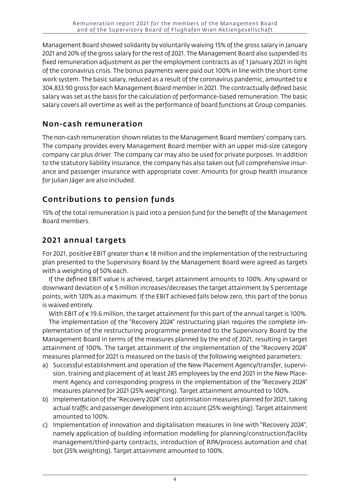Management Board showed solidarity by voluntarily waiving 15% of the gross salary in January 2021 and 20% of the gross salary for the rest of 2021. The Management Board also suspended its fixed remuneration adjustment as per the employment contracts as of 1 January 2021 in light of the coronavirus crisis. The bonus payments were paid out 100% in line with the short-time work system. The basic salary, reduced as a result of the coronavirus pandemic, amounted to  $\epsilon$ 304,833.90 gross for each Management Board member in 2021. The contractually defined basic salary was set as the basis for the calculation of performance-based remuneration. The basic salary covers all overtime as well as the performance of board functions at Group companies.

#### Non-cash remuneration

The non-cash remuneration shown relates to the Management Board members' company cars. The company provides every Management Board member with an upper mid-size category company car plus driver. The company car may also be used for private purposes. In addition to the statutory liability insurance, the company has also taken out full comprehensive insurance and passenger insurance with appropriate cover. Amounts for group health insurance for Julian Jäger are also included.

### Contributions to pension funds

15% of the total remuneration is paid into a pension fund for the benefit of the Management Board members.

#### 2021 annual targets

For 2021, positive EBIT greater than  $\epsilon$  18 million and the implementation of the restructuring plan presented to the Supervisory Board by the Management Board were agreed as targets with a weighting of 50% each.

If the defined EBIT value is achieved, target attainment amounts to 100%. Any upward or downward deviation of € 5 million increases/decreases the target attainment by 5 percentage points, with 120% as a maximum. If the EBIT achieved falls below zero, this part of the bonus is waived entirely.

With EBIT of  $\epsilon$  19.6 million, the target attainment for this part of the annual target is 100%. The implementation of the "Recovery 2024" restructuring plan requires the complete implementation of the restructuring programme presented to the Supervisory Board by the Management Board in terms of the measures planned by the end of 2021, resulting in target attainment of 100%. The target attainment of the implementation of the "Recovery 2024" measures planned for 2021 is measured on the basis of the following weighted parameters:

- a) Successful establishment and operation of the New Placement Agency/transfer, supervision, training and placement of at least 285 employees by the end 2021 in the New Placement Agency and corresponding progress in the implementation of the "Recovery 2024" measures planned for 2021 (25% weighting). Target attainment amounted to 100%.
- b) Implementation of the "Recovery 2024" cost optimisation measures planned for 2021, taking actual traffic and passenger development into account (25% weighting). Target attainment amounted to 100%.
- c) Implementation of innovation and digitalisation measures in line with "Recovery 2024", namely application of building information modelling for planning/construction/facility management/third-party contracts, introduction of RPA/process automation and chat bot (25% weighting). Target attainment amounted to 100%.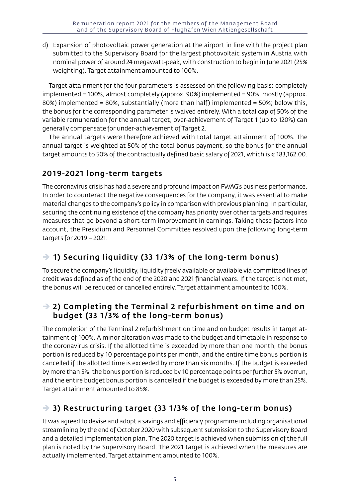d) Expansion of photovoltaic power generation at the airport in line with the project plan submitted to the Supervisory Board for the largest photovoltaic system in Austria with nominal power of around 24 megawatt-peak, with construction to begin in June 2021 (25% weighting). Target attainment amounted to 100%.

Target attainment for the four parameters is assessed on the following basis: completely implemented = 100%, almost completely (approx. 90%) implemented = 90%, mostly (approx. 80%) implemented = 80%, substantially (more than half) implemented = 50%; below this, the bonus for the corresponding parameter is waived entirely. With a total cap of 50% of the variable remuneration for the annual target, over-achievement of Target 1 (up to 120%) can generally compensate for under-achievement of Target 2.

The annual targets were therefore achieved with total target attainment of 100%. The annual target is weighted at 50% of the total bonus payment, so the bonus for the annual target amounts to 50% of the contractually defined basic salary of 2021, which is € 183,162.00.

#### 2019-2021 long-term targets

The coronavirus crisis has had a severe and profound impact on FWAG's business performance. In order to counteract the negative consequences for the company, it was essential to make material changes to the company's policy in comparison with previous planning. In particular, securing the continuing existence of the company has priority over other targets and requires measures that go beyond a short-term improvement in earnings. Taking these factors into account, the Presidium and Personnel Committee resolved upon the following long-term targets for 2019 – 2021:

#### $\rightarrow$  1) Securing liquidity (33 1/3% of the long-term bonus)

To secure the company's liquidity, liquidity freely available or available via committed lines of credit was defined as of the end of the 2020 and 2021 financial years. If the target is not met, the bonus will be reduced or cancelled entirely. Target attainment amounted to 100%.

#### $\rightarrow$  2) Completing the Terminal 2 refurbishment on time and on budget (33 1/3% of the long-term bonus)

The completion of the Terminal 2 refurbishment on time and on budget results in target attainment of 100%. A minor alteration was made to the budget and timetable in response to the coronavirus crisis. If the allotted time is exceeded by more than one month, the bonus portion is reduced by 10 percentage points per month, and the entire time bonus portion is cancelled if the allotted time is exceeded by more than six months. If the budget is exceeded by more than 5%, the bonus portion is reduced by 10 percentage points per further 5% overrun, and the entire budget bonus portion is cancelled if the budget is exceeded by more than 25%. Target attainment amounted to 85%.

#### $\rightarrow$  3) Restructuring target (33 1/3% of the long-term bonus)

It was agreed to devise and adopt a savings and efficiency programme including organisational streamlining by the end of October 2020 with subsequent submission to the Supervisory Board and a detailed implementation plan. The 2020 target is achieved when submission of the full plan is noted by the Supervisory Board. The 2021 target is achieved when the measures are actually implemented. Target attainment amounted to 100%.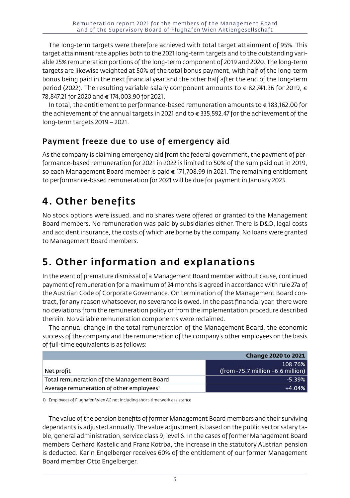The long-term targets were therefore achieved with total target attainment of 95%. This target attainment rate applies both to the 2021 long-term targets and to the outstanding variable 25% remuneration portions of the long-term component of 2019 and 2020. The long-term targets are likewise weighted at 50% of the total bonus payment, with half of the long-term bonus being paid in the next financial year and the other half after the end of the long-term period (2022). The resulting variable salary component amounts to € 82,741.36 for 2019, € 78,847.21 for 2020 and € 174,003.90 for 2021.

In total, the entitlement to performance-based remuneration amounts to  $\epsilon$  183,162.00 for the achievement of the annual targets in 2021 and to € 335,592.47 for the achievement of the long-term targets 2019 – 2021.

#### Payment freeze due to use of emergency aid

As the company is claiming emergency aid from the federal government, the payment of performance-based remuneration for 2021 in 2022 is limited to 50% of the sum paid out in 2019, so each Management Board member is paid € 171,708.99 in 2021. The remaining entitlement to performance-based remuneration for 2021 will be due for payment in January 2023.

## 4. Other benefits

No stock options were issued, and no shares were offered or granted to the Management Board members. No remuneration was paid by subsidiaries either. There is D&O, legal costs and accident insurance, the costs of which are borne by the company. No loans were granted to Management Board members.

## 5. Other information and explanations

In the event of premature dismissal of a Management Board member without cause, continued payment of remuneration for a maximum of 24 months is agreed in accordance with rule 27a of the Austrian Code of Corporate Governance. On termination of the Management Board contract, for any reason whatsoever, no severance is owed. In the past financial year, there were no deviations from the remuneration policy or from the implementation procedure described therein. No variable remuneration components were reclaimed.

The annual change in the total remuneration of the Management Board, the economic success of the company and the remuneration of the company's other employees on the basis of full-time equivalents is as follows:

|                                                      | <b>Change 2020 to 2021</b>                     |
|------------------------------------------------------|------------------------------------------------|
| Net profit                                           | 108.76%<br>$(from -75.7 million +6.6 million)$ |
| Total remuneration of the Management Board           | $-5.39%$                                       |
| Average remuneration of other employees <sup>1</sup> | $+4.04%$                                       |

1) Employees of Flughafen Wien AG not including short-time work assistance

The value of the pension benefits of former Management Board members and their surviving dependants is adjusted annually. The value adjustment is based on the public sector salary table, general administration, service class 9, level 6. In the cases of former Management Board members Gerhard Kastelic and Franz Kotrba, the increase in the statutory Austrian pension is deducted. Karin Engelberger receives 60% of the entitlement of our former Management Board member Otto Engelberger.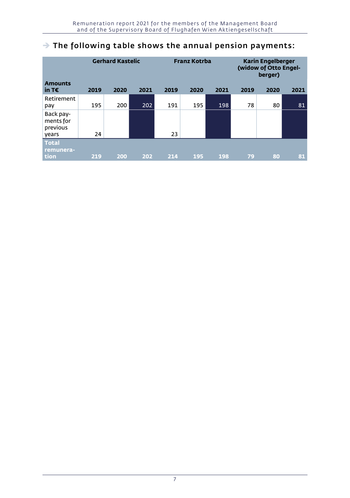#### $\rightarrow$  The following table shows the annual pension payments:

| <b>Amounts</b>                              | <b>Gerhard Kastelic</b> |      |      |      | <b>Franz Kotrba</b> |      |      | <b>Karin Engelberger</b><br>(widow of Otto Engel-<br>berger) |      |  |
|---------------------------------------------|-------------------------|------|------|------|---------------------|------|------|--------------------------------------------------------------|------|--|
| in T $\epsilon$                             | 2019                    | 2020 | 2021 | 2019 | 2020                | 2021 | 2019 | 2020                                                         | 2021 |  |
| Retirement<br>pay                           | 195                     | 200  | 202  | 191  | 195                 | 198  | 78   | 80                                                           | 81   |  |
| Back pay-<br>ments for<br>previous<br>years | 24                      |      |      | 23   |                     |      |      |                                                              |      |  |
| <b>Total</b><br>remunera-<br>tion           | 219                     | 200  | 202  | 214  | 195                 | 198  | 79   | 80                                                           | 81   |  |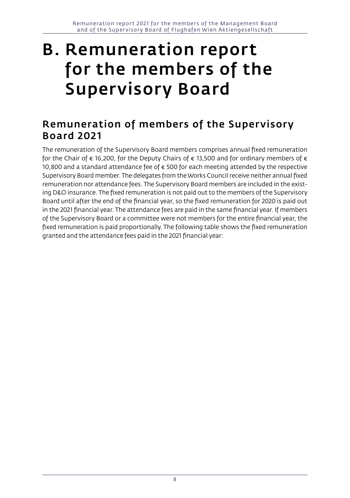## B. Remuneration report for the members of the Supervisory Board

### Remuneration of members of the Supervisory Board 2021

The remuneration of the Supervisory Board members comprises annual fixed remuneration for the Chair of  $\epsilon$  16,200, for the Deputy Chairs of  $\epsilon$  13,500 and for ordinary members of  $\epsilon$ 10,800 and a standard attendance fee of € 500 for each meeting attended by the respective Supervisory Board member. The delegates from the Works Council receive neither annual fixed remuneration nor attendance fees. The Supervisory Board members are included in the existing D&O insurance. The fixed remuneration is not paid out to the members of the Supervisory Board until after the end of the financial year, so the fixed remuneration for 2020 is paid out in the 2021 financial year. The attendance fees are paid in the same financial year. If members of the Supervisory Board or a committee were not members for the entire financial year, the fixed remuneration is paid proportionally. The following table shows the fixed remuneration granted and the attendance fees paid in the 2021 financial year: